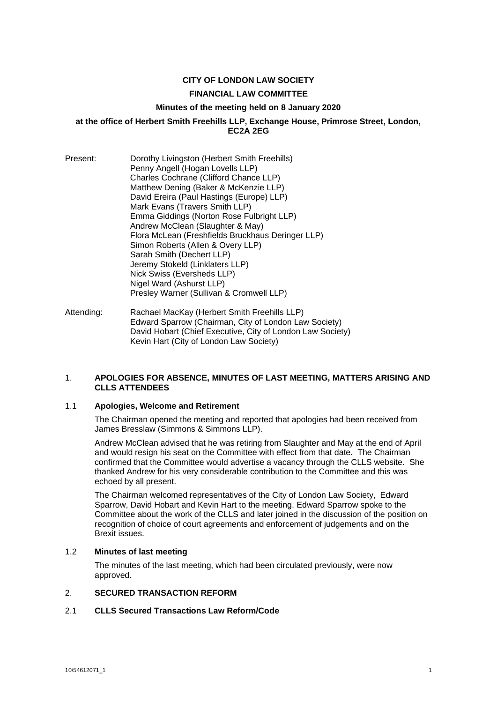## **CITY OF LONDON LAW SOCIETY**

#### **FINANCIAL LAW COMMITTEE**

#### **Minutes of the meeting held on 8 January 2020**

### **at the office of Herbert Smith Freehills LLP, Exchange House, Primrose Street, London, EC2A 2EG**

- Present: Dorothy Livingston (Herbert Smith Freehills) Penny Angell (Hogan Lovells LLP) Charles Cochrane (Clifford Chance LLP) Matthew Dening (Baker & McKenzie LLP) David Ereira (Paul Hastings (Europe) LLP) Mark Evans (Travers Smith LLP) Emma Giddings (Norton Rose Fulbright LLP) Andrew McClean (Slaughter & May) Flora McLean (Freshfields Bruckhaus Deringer LLP) Simon Roberts (Allen & Overy LLP) Sarah Smith (Dechert LLP) Jeremy Stokeld (Linklaters LLP) Nick Swiss (Eversheds LLP) Nigel Ward (Ashurst LLP) Presley Warner (Sullivan & Cromwell LLP)
- Attending: Rachael MacKay (Herbert Smith Freehills LLP) Edward Sparrow (Chairman, City of London Law Society) David Hobart (Chief Executive, City of London Law Society) Kevin Hart (City of London Law Society)

#### 1. **APOLOGIES FOR ABSENCE, MINUTES OF LAST MEETING, MATTERS ARISING AND CLLS ATTENDEES**

## 1.1 **Apologies, Welcome and Retirement**

The Chairman opened the meeting and reported that apologies had been received from James Bresslaw (Simmons & Simmons LLP).

Andrew McClean advised that he was retiring from Slaughter and May at the end of April and would resign his seat on the Committee with effect from that date. The Chairman confirmed that the Committee would advertise a vacancy through the CLLS website. She thanked Andrew for his very considerable contribution to the Committee and this was echoed by all present.

The Chairman welcomed representatives of the City of London Law Society, Edward Sparrow, David Hobart and Kevin Hart to the meeting. Edward Sparrow spoke to the Committee about the work of the CLLS and later joined in the discussion of the position on recognition of choice of court agreements and enforcement of judgements and on the Brexit issues.

### 1.2 **Minutes of last meeting**

The minutes of the last meeting, which had been circulated previously, were now approved.

#### 2. **SECURED TRANSACTION REFORM**

#### 2.1 **CLLS Secured Transactions Law Reform/Code**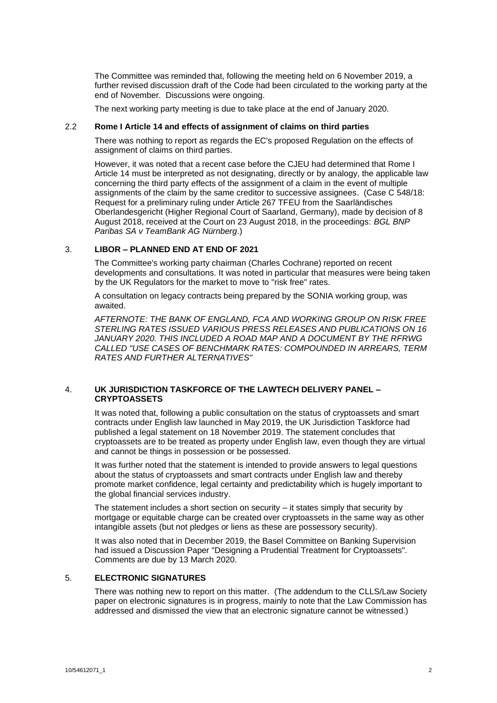The Committee was reminded that, following the meeting held on 6 November 2019, a further revised discussion draft of the Code had been circulated to the working party at the end of November. Discussions were ongoing.

The next working party meeting is due to take place at the end of January 2020.

### 2.2 **Rome I Article 14 and effects of assignment of claims on third parties**

There was nothing to report as regards the EC's proposed Regulation on the effects of assignment of claims on third parties.

However, it was noted that a recent case before the CJEU had determined that Rome I Article 14 must be interpreted as not designating, directly or by analogy, the applicable law concerning the third party effects of the assignment of a claim in the event of multiple assignments of the claim by the same creditor to successive assignees. (Case C 548/18: Request for a preliminary ruling under Article 267 TFEU from the Saarländisches Oberlandesgericht (Higher Regional Court of Saarland, Germany), made by decision of 8 August 2018, received at the Court on 23 August 2018, in the proceedings: *BGL BNP Paribas SA v TeamBank AG Nürnberg*.)

## 3. **LIBOR – PLANNED END AT END OF 2021**

The Committee's working party chairman (Charles Cochrane) reported on recent developments and consultations. It was noted in particular that measures were being taken by the UK Regulators for the market to move to "risk free" rates.

A consultation on legacy contracts being prepared by the SONIA working group, was awaited.

*AFTERNOTE: THE BANK OF ENGLAND, FCA AND WORKING GROUP ON RISK FREE STERLING RATES ISSUED VARIOUS PRESS RELEASES AND PUBLICATIONS ON 16 JANUARY 2020. THIS INCLUDED A ROAD MAP AND A DOCUMENT BY THE RFRWG CALLED "USE CASES OF BENCHMARK RATES: COMPOUNDED IN ARREARS, TERM RATES AND FURTHER ALTERNATIVES"*

## 4. **UK JURISDICTION TASKFORCE OF THE LAWTECH DELIVERY PANEL – CRYPTOASSETS**

It was noted that, following a public consultation on the status of cryptoassets and smart contracts under English law launched in May 2019, the UK Jurisdiction Taskforce had published a legal statement on 18 November 2019. The statement concludes that cryptoassets are to be treated as property under English law, even though they are virtual and cannot be things in possession or be possessed.

It was further noted that the statement is intended to provide answers to legal questions about the status of cryptoassets and smart contracts under English law and thereby promote market confidence, legal certainty and predictability which is hugely important to the global financial services industry.

The statement includes a short section on security – it states simply that security by mortgage or equitable charge can be created over cryptoassets in the same way as other intangible assets (but not pledges or liens as these are possessory security).

It was also noted that in December 2019, the Basel Committee on Banking Supervision had issued a Discussion Paper "Designing a Prudential Treatment for Cryptoassets". Comments are due by 13 March 2020.

### 5. **ELECTRONIC SIGNATURES**

There was nothing new to report on this matter. (The addendum to the CLLS/Law Society paper on electronic signatures is in progress, mainly to note that the Law Commission has addressed and dismissed the view that an electronic signature cannot be witnessed.)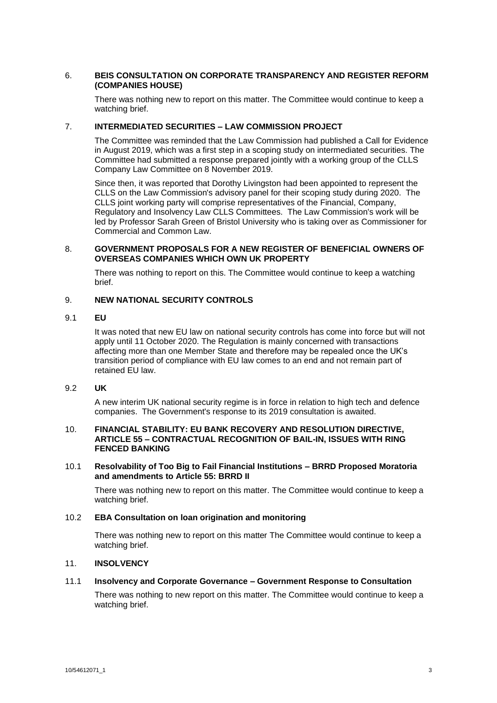# 6. **BEIS CONSULTATION ON CORPORATE TRANSPARENCY AND REGISTER REFORM (COMPANIES HOUSE)**

There was nothing new to report on this matter. The Committee would continue to keep a watching brief.

## 7. **INTERMEDIATED SECURITIES – LAW COMMISSION PROJECT**

The Committee was reminded that the Law Commission had published a Call for Evidence in August 2019, which was a first step in a scoping study on intermediated securities. The Committee had submitted a response prepared jointly with a working group of the CLLS Company Law Committee on 8 November 2019.

Since then, it was reported that Dorothy Livingston had been appointed to represent the CLLS on the Law Commission's advisory panel for their scoping study during 2020. The CLLS joint working party will comprise representatives of the Financial, Company, Regulatory and Insolvency Law CLLS Committees. The Law Commission's work will be led by Professor Sarah Green of Bristol University who is taking over as Commissioner for Commercial and Common Law.

### 8. **GOVERNMENT PROPOSALS FOR A NEW REGISTER OF BENEFICIAL OWNERS OF OVERSEAS COMPANIES WHICH OWN UK PROPERTY**

There was nothing to report on this. The Committee would continue to keep a watching brief.

## 9. **NEW NATIONAL SECURITY CONTROLS**

### 9.1 **EU**

It was noted that new EU law on national security controls has come into force but will not apply until 11 October 2020. The Regulation is mainly concerned with transactions affecting more than one Member State and therefore may be repealed once the UK's transition period of compliance with EU law comes to an end and not remain part of retained EU law.

## 9.2 **UK**

A new interim UK national security regime is in force in relation to high tech and defence companies. The Government's response to its 2019 consultation is awaited.

### 10. **FINANCIAL STABILITY: EU BANK RECOVERY AND RESOLUTION DIRECTIVE, ARTICLE 55 – CONTRACTUAL RECOGNITION OF BAIL-IN, ISSUES WITH RING FENCED BANKING**

### 10.1 **Resolvability of Too Big to Fail Financial Institutions – BRRD Proposed Moratoria and amendments to Article 55: BRRD II**

There was nothing new to report on this matter. The Committee would continue to keep a watching brief.

### 10.2 **EBA Consultation on loan origination and monitoring**

There was nothing new to report on this matter The Committee would continue to keep a watching brief.

## 11. **INSOLVENCY**

### 11.1 **Insolvency and Corporate Governance – Government Response to Consultation**

There was nothing to new report on this matter. The Committee would continue to keep a watching brief.